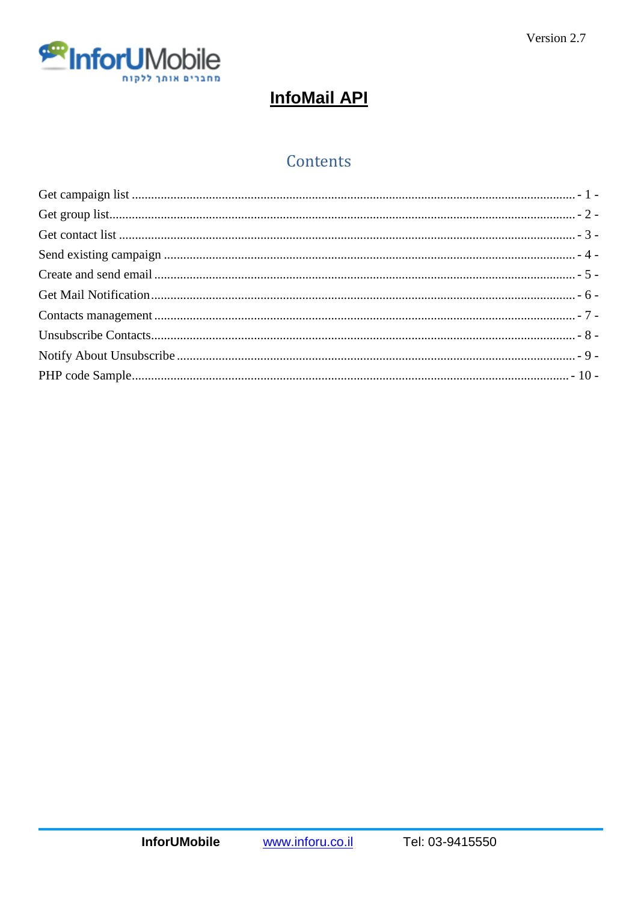

# **InfoMail API**

# Contents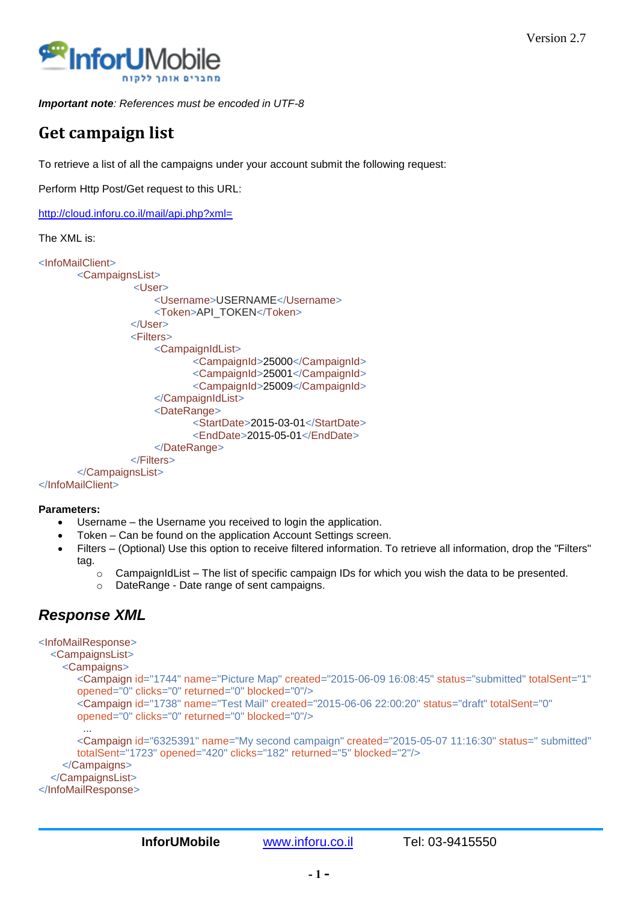

<span id="page-1-0"></span>*Important note: References must be encoded in UTF-8*

## **Get campaign list**

To retrieve a list of all the campaigns under your account submit the following request:

Perform Http Post/Get request to this URL:

<http://cloud.inforu.co.il/mail/api.php?xml=>

#### The XML is:

```
<InfoMailClient>
       <CampaignsList>
                 <User>
                     <Username>USERNAME</Username>
                     <Token>API_TOKEN</Token>
                  </User>
                  <Filters>
                     <CampaignIdList>
                             <CampaignId>25000</CampaignId>
                             <CampaignId>25001</CampaignId>
                             <CampaignId>25009</CampaignId>
                     </CampaignIdList>
                     <DateRange>
                            <StartDate>2015-03-01</StartDate>
                             <EndDate>2015-05-01</EndDate>
                     </DateRange>
                  </Filters>
       </CampaignsList>
</InfoMailClient>
```
#### **Parameters:**

- Username the Username you received to login the application.
- Token Can be found on the application Account Settings screen.
- Filters (Optional) Use this option to receive filtered information. To retrieve all information, drop the "Filters" tag.
	- $\circ$  CampaignIdList The list of specific campaign IDs for which you wish the data to be presented.
	- o DateRange Date range of sent campaigns.

```
<InfoMailResponse>
   <CampaignsList>
     <Campaigns>
       <Campaign id="1744" name="Picture Map" created="2015-06-09 16:08:45" status="submitted" totalSent="1" 
       opened="0" clicks="0" returned="0" blocked="0"/>
       <Campaign id="1738" name="Test Mail" created="2015-06-06 22:00:20" status="draft" totalSent="0" 
       opened="0" clicks="0" returned="0" blocked="0"/>
         ...
       <Campaign id="6325391" name="My second campaign" created="2015-05-07 11:16:30" status=" submitted"
       totalSent="1723" opened="420" clicks="182" returned="5" blocked="2"/>
     </Campaigns>
   </CampaignsList>
</InfoMailResponse>
```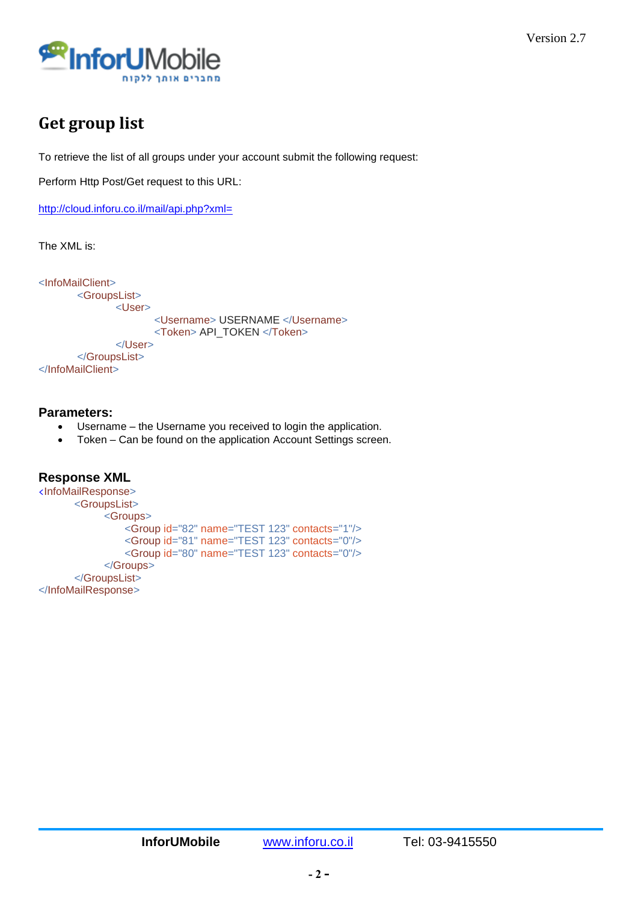

## <span id="page-2-0"></span>**Get group list**

To retrieve the list of all groups under your account submit the following request:

Perform Http Post/Get request to this URL:

<http://cloud.inforu.co.il/mail/api.php?xml=>

The XML is:

```
<InfoMailClient>
       <GroupsList>
              <User>
                     <Username> USERNAME </Username>
                     <Token> API_TOKEN </Token>
              </User>
       </GroupsList>
</InfoMailClient>
```
### **Parameters:**

- Username the Username you received to login the application.
- Token Can be found on the application Account Settings screen.

```
Response XML
<InfoMailResponse>
       <GroupsList>
            <Groups>
                <Group id="82" name="TEST 123" contacts="1"/>
        <Group id="81" name="TEST 123" contacts="0"/>
        <Group id="80" name="TEST 123" contacts="0"/>
            </Groups>
       </GroupsList>
</InfoMailResponse>
```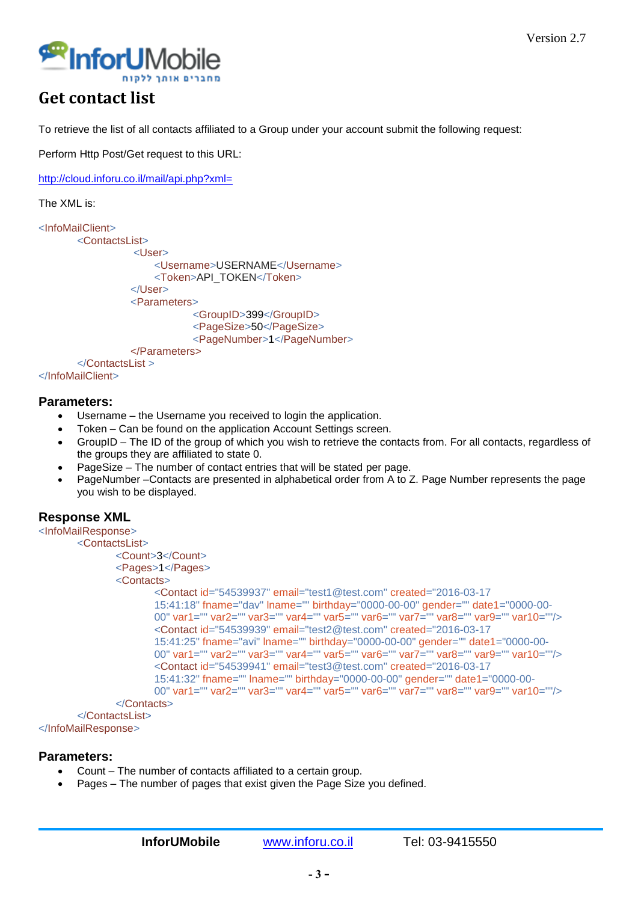

## <span id="page-3-0"></span>**Get contact list**

To retrieve the list of all contacts affiliated to a Group under your account submit the following request:

Perform Http Post/Get request to this URL:

<http://cloud.inforu.co.il/mail/api.php?xml=>

The XML is:

```
<InfoMailClient>
       <ContactsList>
                   <User>
                      <Username>USERNAME</Username>
                      <Token>API_TOKEN</Token>
                 \epsilon/User
                  <Parameters>
                             <GroupID>399</GroupID>
                             <PageSize>50</PageSize>
                             <PageNumber>1</PageNumber>
                  </Parameters>
       </ContactsList >
</InfoMailClient>
```
#### **Parameters:**

- Username the Username you received to login the application.
- Token Can be found on the application Account Settings screen.
- GroupID The ID of the group of which you wish to retrieve the contacts from. For all contacts, regardless of the groups they are affiliated to state 0.
- PageSize The number of contact entries that will be stated per page.
- PageNumber –Contacts are presented in alphabetical order from A to Z. Page Number represents the page you wish to be displayed.

```
<InfoMailResponse>
       <ContactsList>
               <Count>3</Count>
               <Pages>1</Pages>
               <Contacts>
                       <Contact id="54539937" email="test1@test.com" created="2016-03-17 
                       15:41:18" fname="dav" lname="" birthday="0000-00-00" gender="" date1="0000-00-
                       00" var1="" var2="" var3="" var4="" var5="" var6="" var7="" var8="" var9="" var10=""/>
                       <Contact id="54539939" email="test2@test.com" created="2016-03-17 
                       15:41:25" fname="avi" lname="" birthday="0000-00-00" gender="" date1="0000-00-
                       00" var1="" var2="" var3="" var4="" var5="" var6="" var7="" var8="" var9="" var10=""/>
                       <Contact id="54539941" email="test3@test.com" created="2016-03-17 
                       15:41:32" fname="" lname="" birthday="0000-00-00" gender="" date1="0000-00-
                       00" var1="" var2="" var3="" var4="" var5="" var6="" var7="" var8="" var9="" var10=""/>
               </Contacts>
       </ContactsList>
</InfoMailResponse>
```

```
Parameters:
```
- Count The number of contacts affiliated to a certain group.
- Pages The number of pages that exist given the Page Size you defined.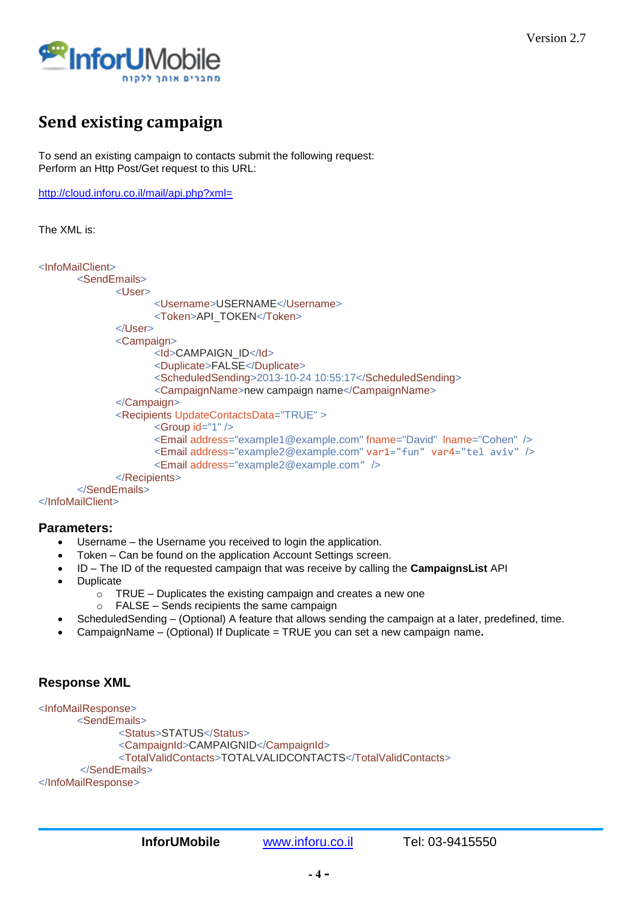

# <span id="page-4-0"></span>**Send existing campaign**

To send an existing campaign to contacts submit the following request: Perform an Http Post/Get request to this URL:

<http://cloud.inforu.co.il/mail/api.php?xml=>

```
The XML is:
```

```
<InfoMailClient>
       <SendEmails>
              <User>
                     <Username>USERNAME</Username>
                     <Token>API_TOKEN</Token>
              </User>
              <Campaign>
                     <Id>CAMPAIGN_ID</Id>
                     <Duplicate>FALSE</Duplicate>
                     <ScheduledSending>2013-10-24 10:55:17</ScheduledSending>
                     <CampaignName>new campaign name</CampaignName>
              </Campaign>
              <Recipients UpdateContactsData="TRUE" >
                     <Group id="1" />
                     <Email address="example1@example.com" fname="David" lname="Cohen" />
                     <Email address="example2@example.com" var1="fun" var4="tel aviv" />
                     <Email address="example2@example.com" />
              </Recipients>
       </SendEmails>
</InfoMailClient>
```
### **Parameters:**

- Username the Username you received to login the application.
- Token Can be found on the application Account Settings screen.
- ID The ID of the requested campaign that was receive by calling the **CampaignsList** API
- Duplicate
	- $\circ$  TRUE Duplicates the existing campaign and creates a new one
	- o FALSE Sends recipients the same campaign
- ScheduledSending (Optional) A feature that allows sending the campaign at a later, predefined, time.
- CampaignName (Optional) If Duplicate = TRUE you can set a new campaign name**.**

```
<InfoMailResponse>
        <SendEmails>
               <Status>STATUS</Status>
              <CampaignId>CAMPAIGNID</CampaignId>
               <TotalValidContacts>TOTALVALIDCONTACTS</TotalValidContacts>
       </SendEmails>
</InfoMailResponse>
```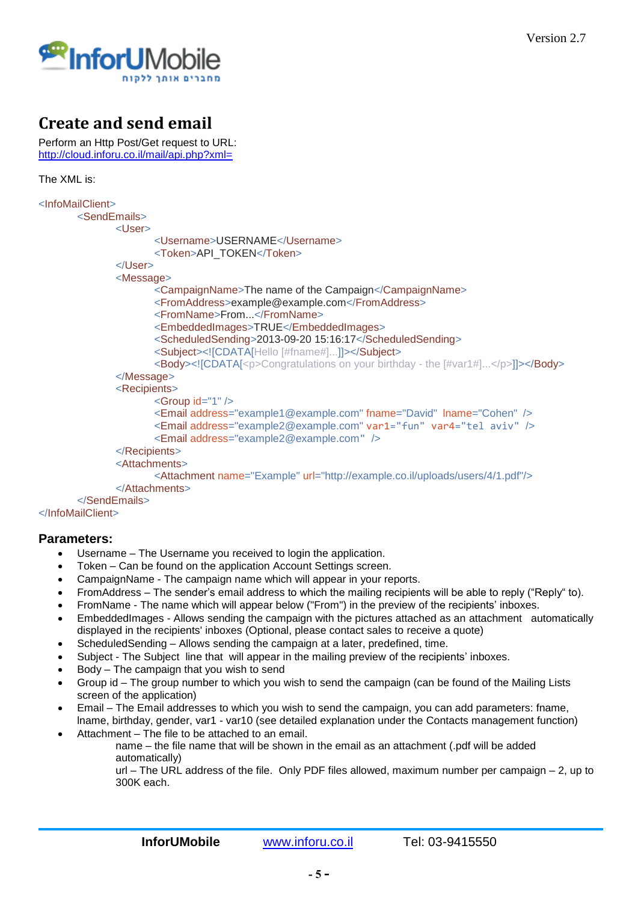

## <span id="page-5-0"></span>**Create and send email**

Perform an Http Post/Get request to URL: <http://cloud.inforu.co.il/mail/api.php?xml=>

The XML is:

```
<InfoMailClient>
       <SendEmails>
              <User>
                     <Username>USERNAME</Username>
                     <Token>API_TOKEN</Token>
              </User>
              <Message>
                     <CampaignName>The name of the Campaign</CampaignName>
                     <FromAddress>example@example.com</FromAddress>
                     <FromName>From...</FromName>
                     <EmbeddedImages>TRUE</EmbeddedImages>
                     <ScheduledSending>2013-09-20 15:16:17</ScheduledSending>
                     <Subject><![CDATA[Hello [#fname#]...]]></Subject>
                     <Body><![CDATA[<p>Congratulations on your birthday - the [#var1#]...</p>]]></Body>
              </Message>
              <Recipients>
                     <Group id="1" />
                     <Email address="example1@example.com" fname="David" lname="Cohen" />
                     <Email address="example2@example.com" var1="fun" var4="tel aviv" />
                     <Email address="example2@example.com" />
              </Recipients>
              <Attachments>
                     <Attachment name="Example" url="http://example.co.il/uploads/users/4/1.pdf"/>
              </Attachments>
       </SendEmails>
</InfoMailClient>
```
### **Parameters:**

- Username The Username you received to login the application.
- Token Can be found on the application Account Settings screen.
- CampaignName The campaign name which will appear in your reports.
- FromAddress The sender's email address to which the mailing recipients will be able to reply ("Reply" to).
- FromName The name which will appear below ("From") in the preview of the recipients' inboxes.
- EmbeddedImages Allows sending the campaign with the pictures attached as an attachment automatically displayed in the recipients' inboxes (Optional, please contact sales to receive a quote)
- ScheduledSending Allows sending the campaign at a later, predefined, time.
- Subject The Subject line that will appear in the mailing preview of the recipients' inboxes.
- Body The campaign that you wish to send
- Group id The group number to which you wish to send the campaign (can be found of the Mailing Lists screen of the application)
- Email The Email addresses to which you wish to send the campaign, you can add parameters: fname, lname, birthday, gender, var1 - var10 (see detailed explanation under the Contacts management function)
- Attachment The file to be attached to an email.
	- name the file name that will be shown in the email as an attachment (.pdf will be added automatically)

url – The URL address of the file. Only PDF files allowed, maximum number per campaign – 2, up to 300K each.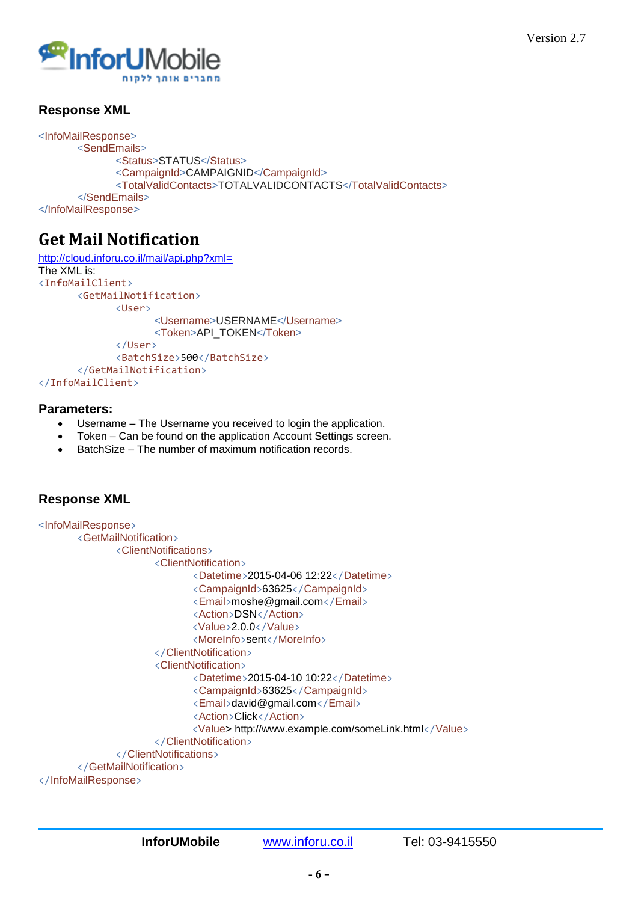

## **Response XML**

```
<InfoMailResponse>
        <SendEmails>
               <Status>STATUS</Status>
               <CampaignId>CAMPAIGNID</CampaignId>
               <TotalValidContacts>TOTALVALIDCONTACTS</TotalValidContacts>
        </SendEmails>
</InfoMailResponse>
```
## <span id="page-6-0"></span>**Get Mail Notification**

```
http://cloud.inforu.co.il/mail/api.php?xml=
The XML is: 
<InfoMailClient>
       <GetMailNotification>
              <User>
                     <Username>USERNAME</Username>
                     <Token>API_TOKEN</Token>
              </User>
              <BatchSize>500</BatchSize>
       </GetMailNotification>
</InfoMailClient>
```
### **Parameters:**

- Username The Username you received to login the application.
- Token Can be found on the application Account Settings screen.
- BatchSize The number of maximum notification records.

```
<InfoMailResponse>
       <GetMailNotification>
               <ClientNotifications>
                        <ClientNotification>
                              <Datetime>2015-04-06 12:22</Datetime>
                              <CampaignId>63625</CampaignId>
                              <Email>moshe@gmail.com</Email>
                              <Action>DSN</Action>
                               <Value>2.0.0</Value>
                               <MoreInfo>sent</MoreInfo>
                        </ClientNotification>
                       <ClientNotification>
                              <Datetime>2015-04-10 10:22</Datetime>
                              <CampaignId>63625</CampaignId>
                              <Email>david@gmail.com</Email>
                              <Action>Click</Action>
                               <Value> http://www.example.com/someLink.html</Value>
                        </ClientNotification>
               </ClientNotifications>
       </GetMailNotification>
</InfoMailResponse>
```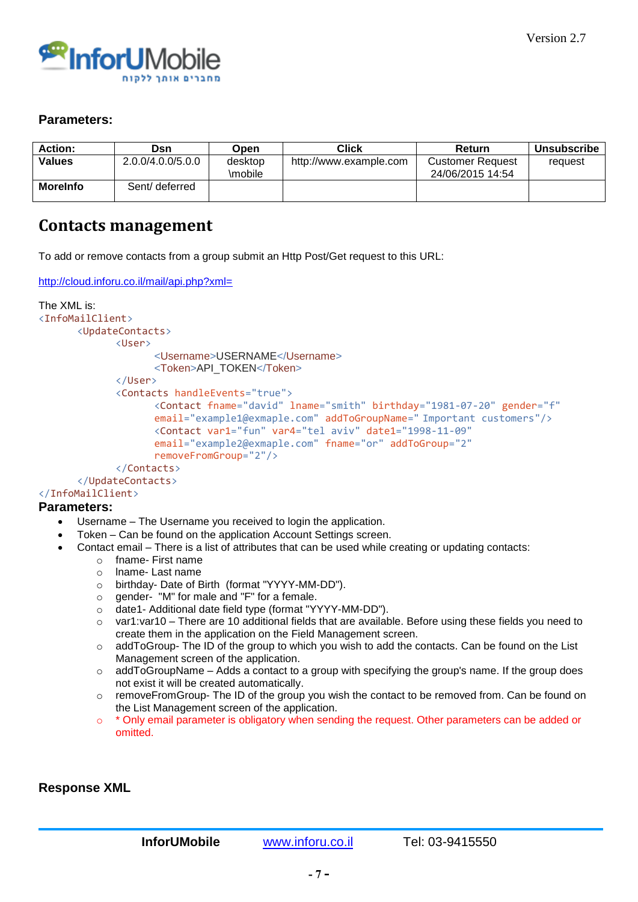

### **Parameters:**

| <b>Action:</b>  | Dsn               | <b>Dpen</b>        | <b>Click</b>           | Return                                      | Unsubscribe |
|-----------------|-------------------|--------------------|------------------------|---------------------------------------------|-------------|
| <b>Values</b>   | 2.0.0/4.0.0/5.0.0 | desktop<br>\mobile | http://www.example.com | <b>Customer Request</b><br>24/06/2015 14:54 | request     |
| <b>Morelnfo</b> | Sent/ deferred    |                    |                        |                                             |             |

## <span id="page-7-0"></span>**Contacts management**

To add or remove contacts from a group submit an Http Post/Get request to this URL:

```
http://cloud.inforu.co.il/mail/api.php?xml=
```

```
The XML is: 
<InfoMailClient>
      <UpdateContacts>
             <User>
                    <Username>USERNAME</Username>
                    <Token>API_TOKEN</Token>
             </User>
             <Contacts handleEvents="true">
                    <Contact fname="david" lname="smith" birthday="1981-07-20" gender="f"
                    email="example1@exmaple.com" addToGroupName=" Important customers"/>
                    <Contact var1="fun" var4="tel aviv" date1="1998-11-09"
                    email="example2@exmaple.com" fname="or" addToGroup="2"
                   removeFromGroup="2"/>
             </Contacts>
      </UpdateContacts>
</InfoMailClient>
```
### **Parameters:**

- Username The Username you received to login the application.
- Token Can be found on the application Account Settings screen.
- Contact email There is a list of attributes that can be used while creating or updating contacts:
	- o fname- First name
	- o lname- Last name
	- o birthday- Date of Birth (format "YYYY-MM-DD").
	- o gender- "M" for male and "F" for a female.
	- o date1- Additional date field type (format "YYYY-MM-DD").
	- o var1:var10 There are 10 additional fields that are available. Before using these fields you need to create them in the application on the Field Management screen.
	- $\circ$  addToGroup- The ID of the group to which you wish to add the contacts. Can be found on the List Management screen of the application.
	- $\circ$  addToGroupName Adds a contact to a group with specifying the group's name. If the group does not exist it will be created automatically.
	- $\circ$  removeFromGroup- The ID of the group you wish the contact to be removed from. Can be found on the List Management screen of the application.
	- o \* Only email parameter is obligatory when sending the request. Other parameters can be added or omitted.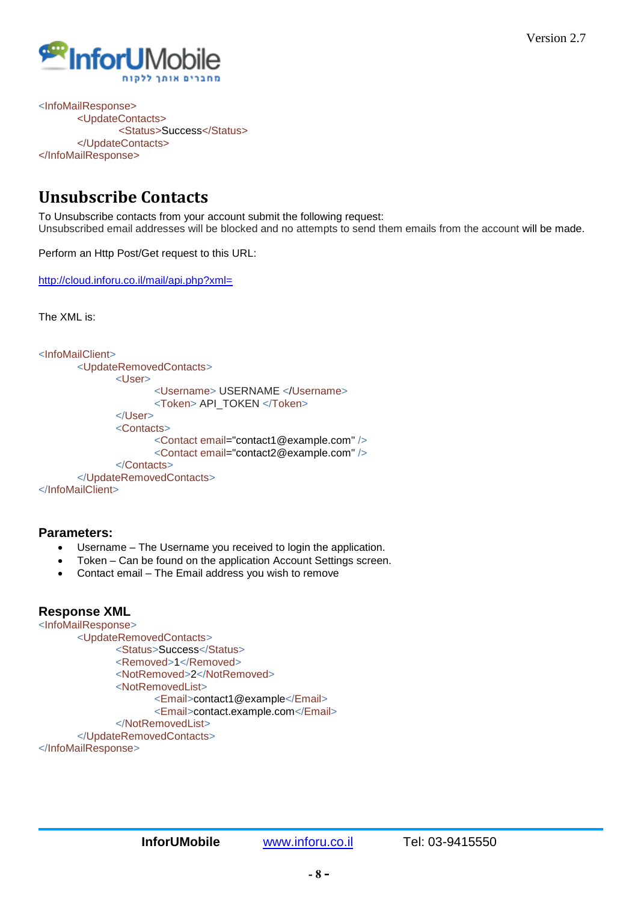

<InfoMailResponse> <UpdateContacts> <Status>Success</Status> </UpdateContacts> </InfoMailResponse>

## <span id="page-8-0"></span>**Unsubscribe Contacts**

To Unsubscribe contacts from your account submit the following request: Unsubscribed email addresses will be blocked and no attempts to send them emails from the account will be made.

Perform an Http Post/Get request to this URL:

<http://cloud.inforu.co.il/mail/api.php?xml=>

The XML is:

```
<InfoMailClient>
       <UpdateRemovedContacts>
              <User>
                     <Username> USERNAME </Username>
                     <Token> API_TOKEN </Token>
              </User>
              <Contacts>
                     <Contact email="contact1@example.com" />
                     <Contact email="contact2@example.com" />
              </Contacts>
       </UpdateRemovedContacts>
</InfoMailClient>
```
### **Parameters:**

- Username The Username you received to login the application.
- Token Can be found on the application Account Settings screen.
- Contact email The Email address you wish to remove

## **Response XML**

```
<InfoMailResponse>
      <UpdateRemovedContacts>
             <Status>Success</Status>
             <Removed>1</Removed>
              <NotRemoved>2</NotRemoved>
             <NotRemovedList>
                    <Email>contact1@example</Email>
                    <Email>contact.example.com</Email>
             </NotRemovedList>
      </UpdateRemovedContacts>
```
</InfoMailResponse>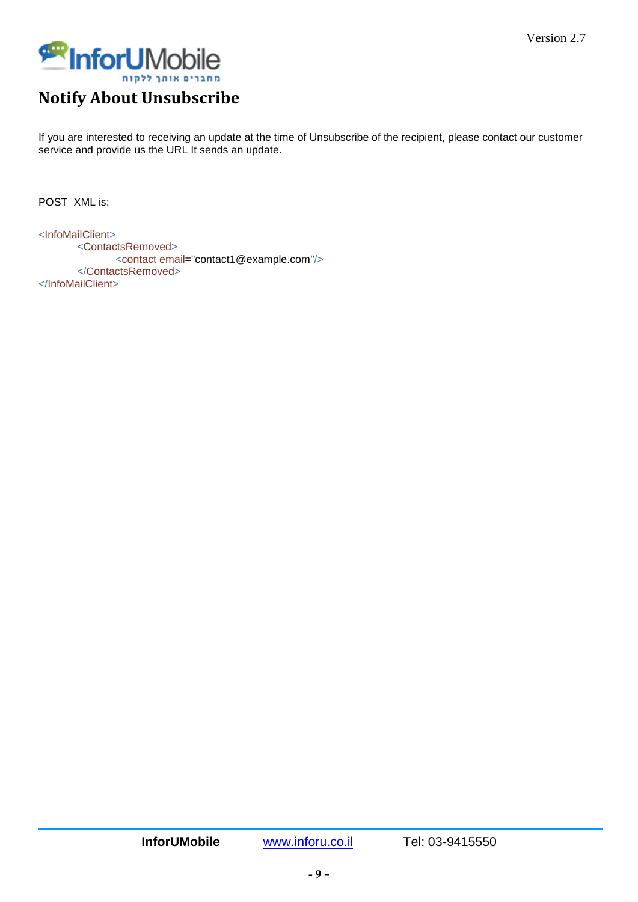

## <span id="page-9-0"></span>**Notify About Unsubscribe**

If you are interested to receiving an update at the time of Unsubscribe of the recipient, please contact our customer service and provide us the URL It sends an update.

POST XML is:

<InfoMailClient> <ContactsRemoved> <contact email="contact1@example.com"/> </ContactsRemoved> </InfoMailClient>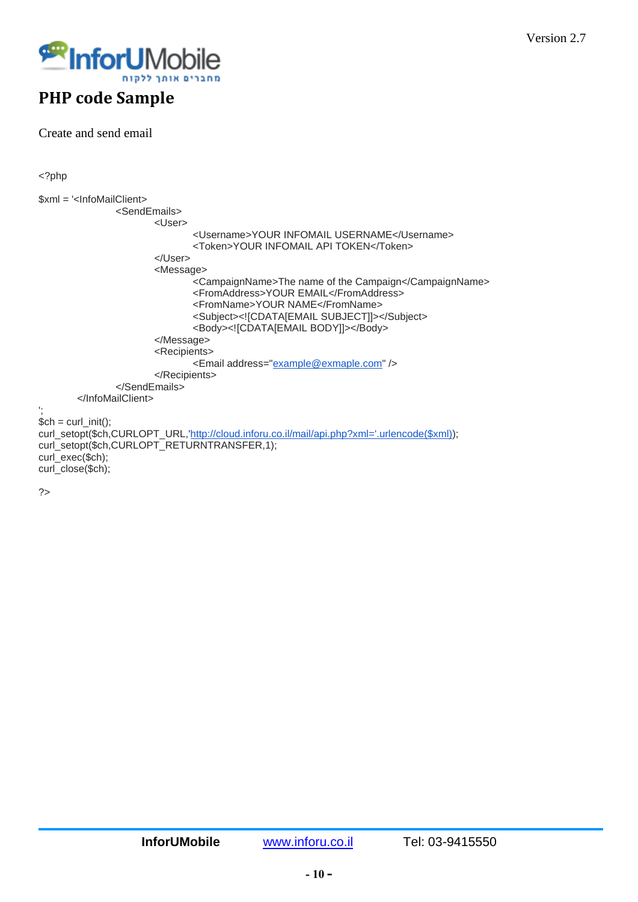

## <span id="page-10-0"></span>**PHP code Sample**

Create and send email

<?php

```
$xml = '<InfoMailClient>
              <SendEmails>
                     <User>
                            <Username>YOUR INFOMAIL USERNAME</Username>
                            <Token>YOUR INFOMAIL API TOKEN</Token>
                     </User>
                     <Message>
                            <CampaignName>The name of the Campaign</CampaignName>
                            <FromAddress>YOUR EMAIL</FromAddress>
                            <FromName>YOUR NAME</FromName>
                            <Subject><![CDATA[EMAIL SUBJECT]]></Subject>
                            <Body><![CDATA[EMAIL BODY]]></Body>
                     </Message>
                     <Recipients>
                            <Email address="example@exmaple.com" />
                     </Recipients>
              </SendEmails>
       </InfoMailClient>
';
$ch = curl\_init();
,'http://cloud.inforu.co.il/mail/api.php?xml='.urlencode($xml));
curl_setopt($ch,CURLOPT_RETURNTRANSFER,1);
curl_exec($ch);
curl_close($ch);
```
?>